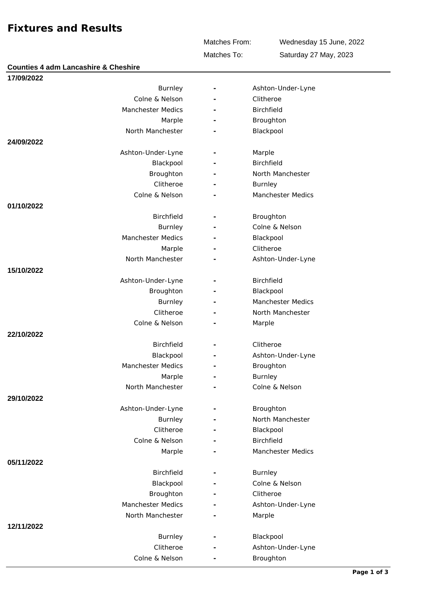## **Fixtures and Results**

Matches From:

Wednesday 15 June, 2022 Saturday 27 May, 2023

Matches To:

| <b>Counties 4 adm Lancashire &amp; Cheshire</b> |                |                          |
|-------------------------------------------------|----------------|--------------------------|
| 17/09/2022                                      |                |                          |
| <b>Burnley</b>                                  |                | Ashton-Under-Lyne        |
| Colne & Nelson                                  |                | Clitheroe                |
| <b>Manchester Medics</b>                        |                | <b>Birchfield</b>        |
| Marple                                          |                | Broughton                |
| North Manchester                                |                | Blackpool                |
| 24/09/2022                                      |                |                          |
| Ashton-Under-Lyne                               |                | Marple                   |
| Blackpool                                       |                | Birchfield               |
| Broughton                                       |                | North Manchester         |
| Clitheroe                                       |                | <b>Burnley</b>           |
| Colne & Nelson                                  |                | <b>Manchester Medics</b> |
| 01/10/2022                                      |                |                          |
| <b>Birchfield</b>                               |                | Broughton                |
| <b>Burnley</b>                                  |                | Colne & Nelson           |
| <b>Manchester Medics</b>                        |                | Blackpool                |
| Marple                                          |                | Clitheroe                |
| North Manchester                                |                | Ashton-Under-Lyne        |
| 15/10/2022                                      |                |                          |
| Ashton-Under-Lyne                               |                | <b>Birchfield</b>        |
| Broughton                                       |                | Blackpool                |
| <b>Burnley</b>                                  |                | Manchester Medics        |
| Clitheroe                                       |                | North Manchester         |
| Colne & Nelson                                  |                | Marple                   |
| 22/10/2022                                      |                |                          |
| Birchfield                                      | $\overline{a}$ | Clitheroe                |
| Blackpool                                       |                | Ashton-Under-Lyne        |
| <b>Manchester Medics</b>                        |                | Broughton                |
| Marple                                          |                | <b>Burnley</b>           |
| North Manchester                                |                | Colne & Nelson           |
| 29/10/2022                                      |                |                          |
| Ashton-Under-Lyne                               |                | Broughton                |
| Burnley                                         |                | North Manchester         |
| Clitheroe                                       |                | Blackpool                |
| Colne & Nelson                                  |                | <b>Birchfield</b>        |
| Marple                                          |                | Manchester Medics        |
| 05/11/2022                                      |                |                          |
| <b>Birchfield</b>                               |                | <b>Burnley</b>           |
| Blackpool                                       |                | Colne & Nelson           |
| Broughton                                       |                | Clitheroe                |
| <b>Manchester Medics</b>                        |                | Ashton-Under-Lyne        |
| North Manchester                                |                | Marple                   |
| 12/11/2022                                      |                |                          |
| <b>Burnley</b>                                  |                | Blackpool                |
| Clitheroe                                       |                | Ashton-Under-Lyne        |
| Colne & Nelson                                  |                | Broughton                |
|                                                 |                |                          |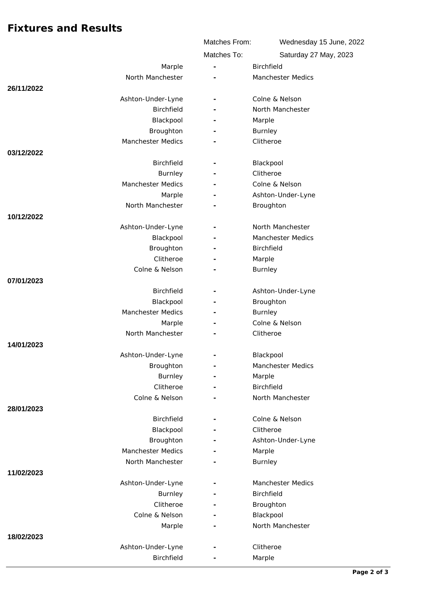## **Fixtures and Results**

|            |                          | Matches From:            | Wednesday 15 June, 2022  |
|------------|--------------------------|--------------------------|--------------------------|
|            |                          | Matches To:              | Saturday 27 May, 2023    |
|            | Marple                   | $\overline{\phantom{a}}$ | <b>Birchfield</b>        |
|            | North Manchester         |                          | <b>Manchester Medics</b> |
| 26/11/2022 |                          |                          |                          |
|            | Ashton-Under-Lyne        | $\overline{\phantom{a}}$ | Colne & Nelson           |
|            | Birchfield               |                          | North Manchester         |
|            | Blackpool                |                          | Marple                   |
|            | Broughton                |                          | <b>Burnley</b>           |
|            | <b>Manchester Medics</b> |                          | Clitheroe                |
| 03/12/2022 |                          |                          |                          |
|            | <b>Birchfield</b>        |                          | Blackpool                |
|            | <b>Burnley</b>           | $\overline{\phantom{a}}$ | Clitheroe                |
|            | Manchester Medics        |                          | Colne & Nelson           |
|            | Marple                   |                          | Ashton-Under-Lyne        |
|            | North Manchester         |                          | Broughton                |
| 10/12/2022 |                          |                          |                          |
|            | Ashton-Under-Lyne        | $\overline{\phantom{a}}$ | North Manchester         |
|            | Blackpool                |                          | <b>Manchester Medics</b> |
|            | Broughton                |                          | Birchfield               |
|            | Clitheroe                |                          | Marple                   |
|            | Colne & Nelson           |                          | <b>Burnley</b>           |
| 07/01/2023 |                          |                          |                          |
|            | <b>Birchfield</b>        |                          | Ashton-Under-Lyne        |
|            | Blackpool                | ÷.                       | Broughton                |
|            | <b>Manchester Medics</b> |                          | <b>Burnley</b>           |
|            | Marple                   |                          | Colne & Nelson           |
|            | North Manchester         |                          | Clitheroe                |
| 14/01/2023 |                          |                          |                          |
|            | Ashton-Under-Lyne        |                          | Blackpool                |
|            | Broughton                | -                        | <b>Manchester Medics</b> |
|            | Burnley                  | $\overline{\phantom{a}}$ | Marple                   |
|            | Clitheroe                |                          | Birchfield               |
|            | Colne & Nelson           |                          | North Manchester         |
| 28/01/2023 |                          |                          |                          |
|            | <b>Birchfield</b>        | $\overline{\phantom{a}}$ | Colne & Nelson           |
|            | Blackpool                |                          | Clitheroe                |
|            | Broughton                |                          | Ashton-Under-Lyne        |
|            | <b>Manchester Medics</b> |                          | Marple                   |
|            | North Manchester         |                          | Burnley                  |
| 11/02/2023 |                          |                          |                          |
|            | Ashton-Under-Lyne        |                          | <b>Manchester Medics</b> |
|            | <b>Burnley</b>           | $\overline{\phantom{0}}$ | Birchfield               |
|            | Clitheroe                | $\overline{a}$           | Broughton                |
|            | Colne & Nelson           |                          | Blackpool                |
|            | Marple                   |                          | North Manchester         |
| 18/02/2023 |                          |                          |                          |
|            | Ashton-Under-Lyne        |                          | Clitheroe                |
|            | Birchfield               | ÷,                       | Marple                   |